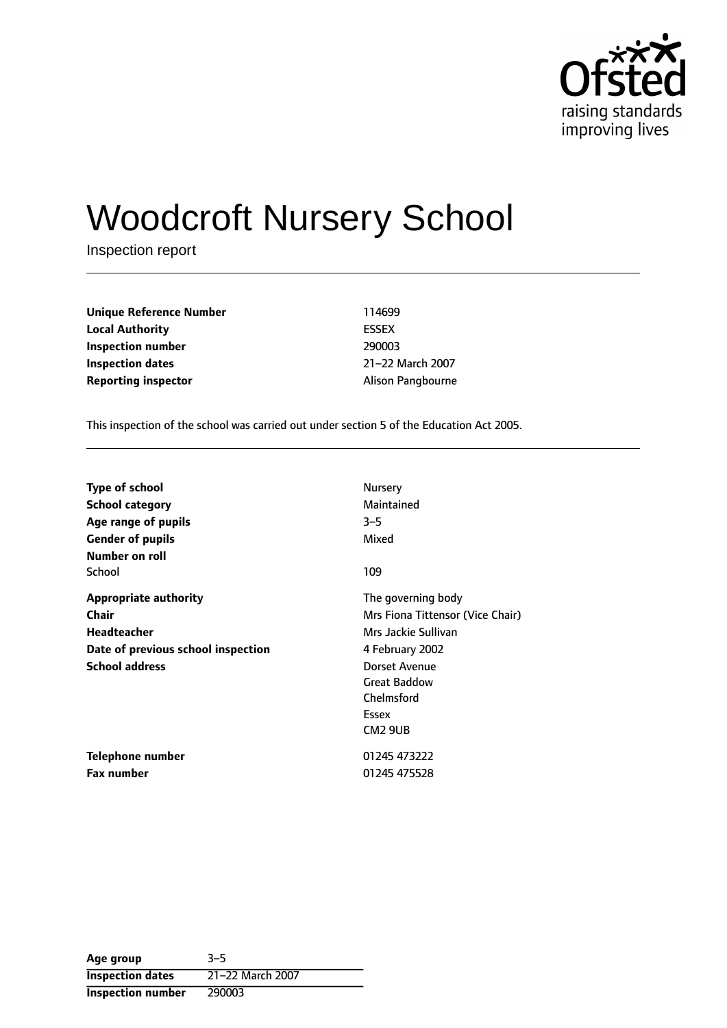

# Woodcroft Nursery School

Inspection report

**Unique Reference Number** 114699 **Local Authority** ESSEX **Inspection number** 290003 **Inspection dates** 21-22 March 2007 **Reporting inspector** Alison Pangbourne

This inspection of the school was carried out under section 5 of the Education Act 2005.

| <b>Type of school</b>              | Nursery                          |
|------------------------------------|----------------------------------|
| <b>School category</b>             | Maintained                       |
| Age range of pupils                | $3 - 5$                          |
| <b>Gender of pupils</b>            | Mixed                            |
| Number on roll                     |                                  |
| School                             | 109                              |
| <b>Appropriate authority</b>       | The governing body               |
| Chair                              | Mrs Fiona Tittensor (Vice Chair) |
| <b>Headteacher</b>                 | Mrs Jackie Sullivan              |
| Date of previous school inspection | 4 February 2002                  |
| <b>School address</b>              | Dorset Avenue                    |
|                                    | <b>Great Baddow</b>              |
|                                    | Chelmsford                       |
|                                    | Essex                            |
|                                    | CM <sub>2</sub> 9UB              |
| Telephone number                   | 01245 473222                     |
| <b>Fax number</b>                  | 01245 475528                     |

| Age group                | $3 - 5$          |
|--------------------------|------------------|
| <b>Inspection dates</b>  | 21-22 March 2007 |
| <b>Inspection number</b> | 290003           |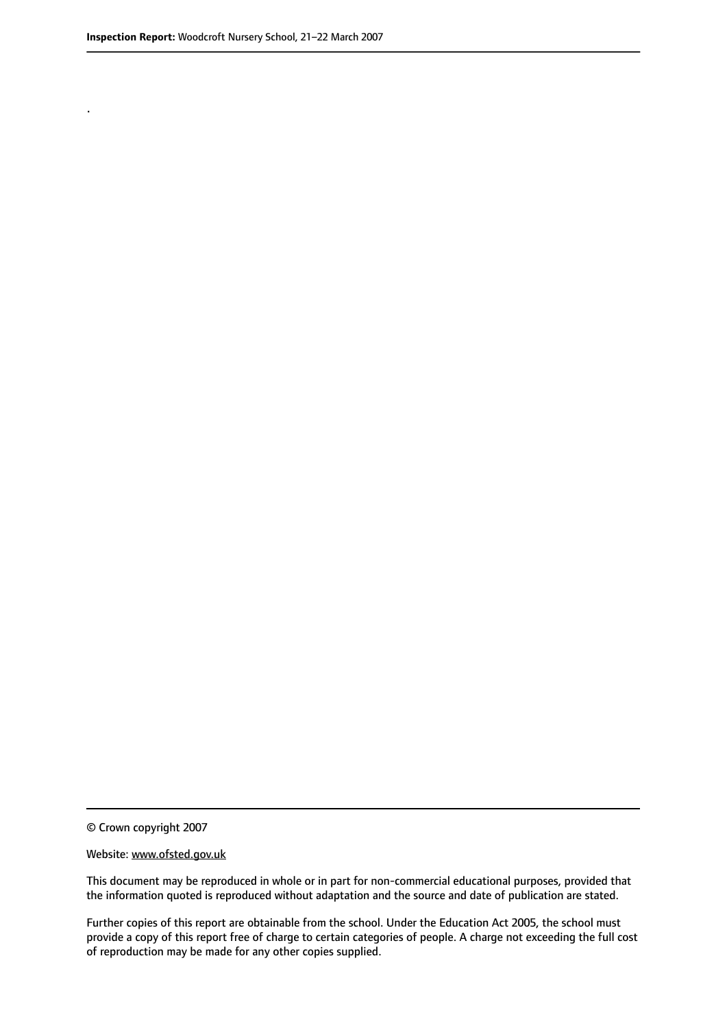.

© Crown copyright 2007

#### Website: www.ofsted.gov.uk

This document may be reproduced in whole or in part for non-commercial educational purposes, provided that the information quoted is reproduced without adaptation and the source and date of publication are stated.

Further copies of this report are obtainable from the school. Under the Education Act 2005, the school must provide a copy of this report free of charge to certain categories of people. A charge not exceeding the full cost of reproduction may be made for any other copies supplied.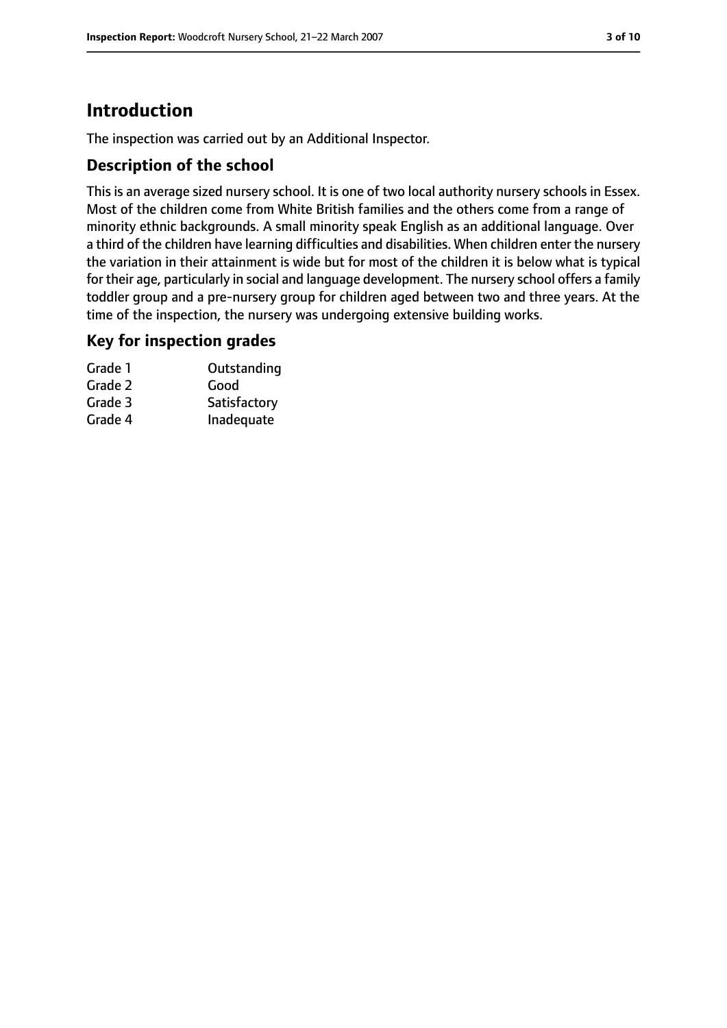### **Introduction**

The inspection was carried out by an Additional Inspector.

#### **Description of the school**

This is an average sized nursery school. It is one of two local authority nursery schools in Essex. Most of the children come from White British families and the others come from a range of minority ethnic backgrounds. A small minority speak English as an additional language. Over a third of the children have learning difficulties and disabilities. When children enter the nursery the variation in their attainment is wide but for most of the children it is below what is typical for their age, particularly in social and language development. The nursery school offers a family toddler group and a pre-nursery group for children aged between two and three years. At the time of the inspection, the nursery was undergoing extensive building works.

#### **Key for inspection grades**

| Grade 1 | Outstanding  |
|---------|--------------|
| Grade 2 | Good         |
| Grade 3 | Satisfactory |
| Grade 4 | Inadequate   |
|         |              |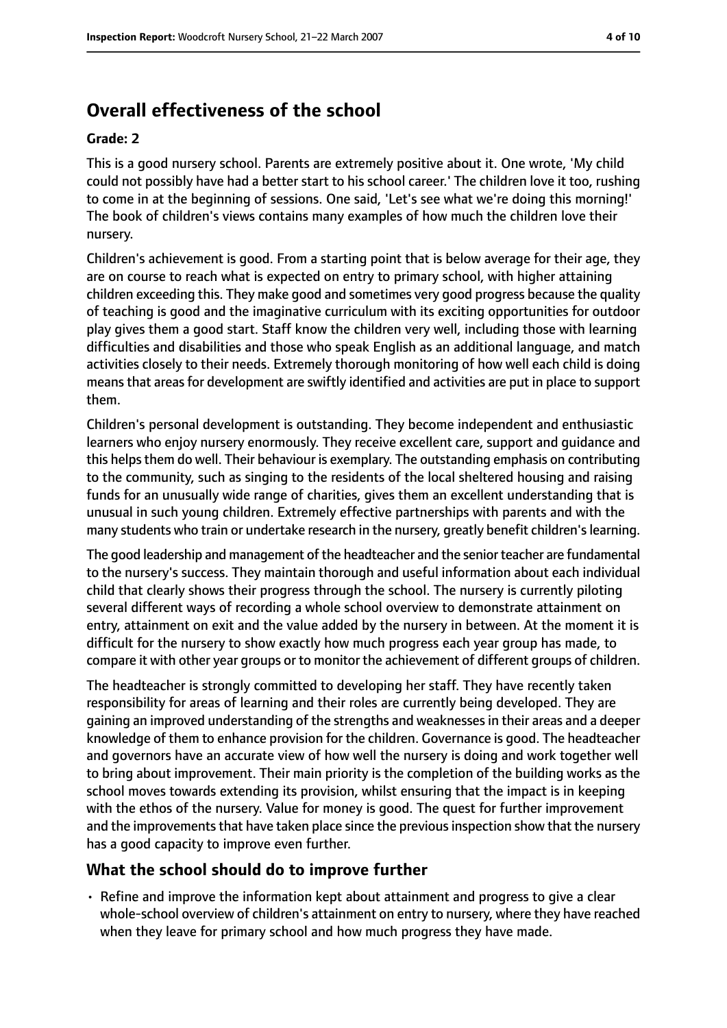### **Overall effectiveness of the school**

#### **Grade: 2**

This is a good nursery school. Parents are extremely positive about it. One wrote, 'My child could not possibly have had a better start to his school career.' The children love it too, rushing to come in at the beginning of sessions. One said, 'Let's see what we're doing this morning!' The book of children's views contains many examples of how much the children love their nursery.

Children's achievement is good. From a starting point that is below average for their age, they are on course to reach what is expected on entry to primary school, with higher attaining children exceeding this. They make good and sometimes very good progress because the quality of teaching is good and the imaginative curriculum with its exciting opportunities for outdoor play gives them a good start. Staff know the children very well, including those with learning difficulties and disabilities and those who speak English as an additional language, and match activities closely to their needs. Extremely thorough monitoring of how well each child is doing meansthat areasfor development are swiftly identified and activities are put in place to support them.

Children's personal development is outstanding. They become independent and enthusiastic learners who enjoy nursery enormously. They receive excellent care, support and guidance and this helps them do well. Their behaviour is exemplary. The outstanding emphasis on contributing to the community, such as singing to the residents of the local sheltered housing and raising funds for an unusually wide range of charities, gives them an excellent understanding that is unusual in such young children. Extremely effective partnerships with parents and with the many students who train or undertake research in the nursery, greatly benefit children'slearning.

The good leadership and management of the headteacher and the senior teacher are fundamental to the nursery's success. They maintain thorough and useful information about each individual child that clearly shows their progress through the school. The nursery is currently piloting several different ways of recording a whole school overview to demonstrate attainment on entry, attainment on exit and the value added by the nursery in between. At the moment it is difficult for the nursery to show exactly how much progress each year group has made, to compare it with other year groups or to monitor the achievement of different groups of children.

The headteacher is strongly committed to developing her staff. They have recently taken responsibility for areas of learning and their roles are currently being developed. They are gaining an improved understanding of the strengths and weaknessesin their areas and a deeper knowledge of them to enhance provision for the children. Governance is good. The headteacher and governors have an accurate view of how well the nursery is doing and work together well to bring about improvement. Their main priority is the completion of the building works as the school moves towards extending its provision, whilst ensuring that the impact is in keeping with the ethos of the nursery. Value for money is good. The quest for further improvement and the improvements that have taken place since the previous inspection show that the nursery has a good capacity to improve even further.

#### **What the school should do to improve further**

• Refine and improve the information kept about attainment and progress to give a clear whole-school overview of children's attainment on entry to nursery, where they have reached when they leave for primary school and how much progress they have made.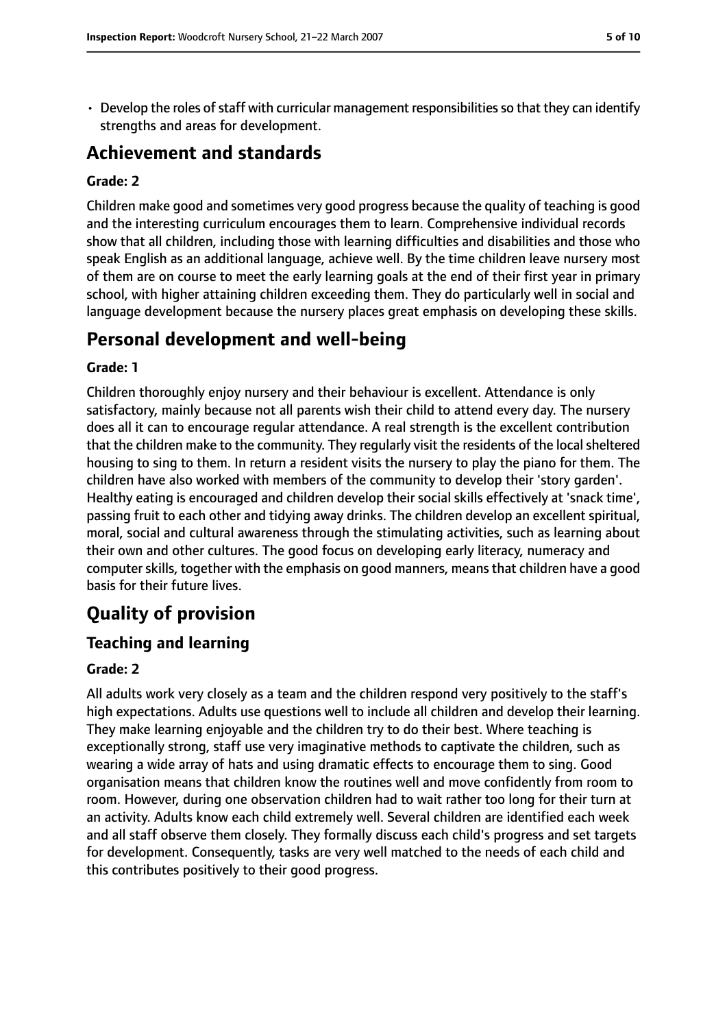$\cdot$  Develop the roles of staff with curricular management responsibilities so that they can identify strengths and areas for development.

### **Achievement and standards**

#### **Grade: 2**

Children make good and sometimes very good progress because the quality of teaching is good and the interesting curriculum encourages them to learn. Comprehensive individual records show that all children, including those with learning difficulties and disabilities and those who speak English as an additional language, achieve well. By the time children leave nursery most of them are on course to meet the early learning goals at the end of their first year in primary school, with higher attaining children exceeding them. They do particularly well in social and language development because the nursery places great emphasis on developing these skills.

### **Personal development and well-being**

#### **Grade: 1**

Children thoroughly enjoy nursery and their behaviour is excellent. Attendance is only satisfactory, mainly because not all parents wish their child to attend every day. The nursery does all it can to encourage regular attendance. A real strength is the excellent contribution that the children make to the community. They regularly visit the residents of the localsheltered housing to sing to them. In return a resident visits the nursery to play the piano for them. The children have also worked with members of the community to develop their 'story garden'. Healthy eating is encouraged and children develop their social skills effectively at 'snack time', passing fruit to each other and tidying away drinks. The children develop an excellent spiritual, moral, social and cultural awareness through the stimulating activities, such as learning about their own and other cultures. The good focus on developing early literacy, numeracy and computer skills, together with the emphasis on good manners, means that children have a good basis for their future lives.

### **Quality of provision**

#### **Teaching and learning**

#### **Grade: 2**

All adults work very closely as a team and the children respond very positively to the staff's high expectations. Adults use questions well to include all children and develop their learning. They make learning enjoyable and the children try to do their best. Where teaching is exceptionally strong, staff use very imaginative methods to captivate the children, such as wearing a wide array of hats and using dramatic effects to encourage them to sing. Good organisation means that children know the routines well and move confidently from room to room. However, during one observation children had to wait rather too long for their turn at an activity. Adults know each child extremely well. Several children are identified each week and all staff observe them closely. They formally discuss each child's progress and set targets for development. Consequently, tasks are very well matched to the needs of each child and this contributes positively to their good progress.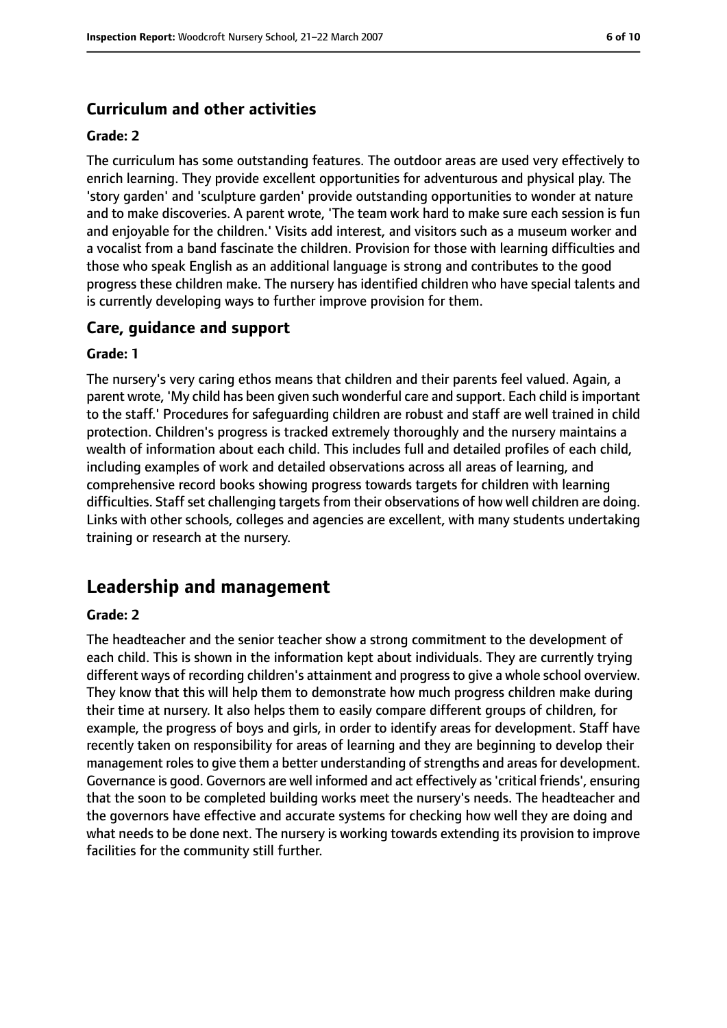#### **Curriculum and other activities**

#### **Grade: 2**

The curriculum has some outstanding features. The outdoor areas are used very effectively to enrich learning. They provide excellent opportunities for adventurous and physical play. The 'story garden' and 'sculpture garden' provide outstanding opportunities to wonder at nature and to make discoveries. A parent wrote, 'The team work hard to make sure each session is fun and enjoyable for the children.' Visits add interest, and visitors such as a museum worker and a vocalist from a band fascinate the children. Provision for those with learning difficulties and those who speak English as an additional language is strong and contributes to the good progress these children make. The nursery has identified children who have special talents and is currently developing ways to further improve provision for them.

#### **Care, guidance and support**

#### **Grade: 1**

The nursery's very caring ethos means that children and their parents feel valued. Again, a parent wrote, 'My child has been given such wonderful care and support. Each child isimportant to the staff.' Procedures for safeguarding children are robust and staff are well trained in child protection. Children's progress is tracked extremely thoroughly and the nursery maintains a wealth of information about each child. This includes full and detailed profiles of each child, including examples of work and detailed observations across all areas of learning, and comprehensive record books showing progress towards targets for children with learning difficulties. Staff set challenging targets from their observations of how well children are doing. Links with other schools, colleges and agencies are excellent, with many students undertaking training or research at the nursery.

### **Leadership and management**

#### **Grade: 2**

The headteacher and the senior teacher show a strong commitment to the development of each child. This is shown in the information kept about individuals. They are currently trying different ways of recording children's attainment and progress to give a whole school overview. They know that this will help them to demonstrate how much progress children make during their time at nursery. It also helps them to easily compare different groups of children, for example, the progress of boys and girls, in order to identify areas for development. Staff have recently taken on responsibility for areas of learning and they are beginning to develop their management roles to give them a better understanding of strengths and areas for development. Governance is good. Governors are well informed and act effectively as'critical friends', ensuring that the soon to be completed building works meet the nursery's needs. The headteacher and the governors have effective and accurate systems for checking how well they are doing and what needs to be done next. The nursery is working towards extending its provision to improve facilities for the community still further.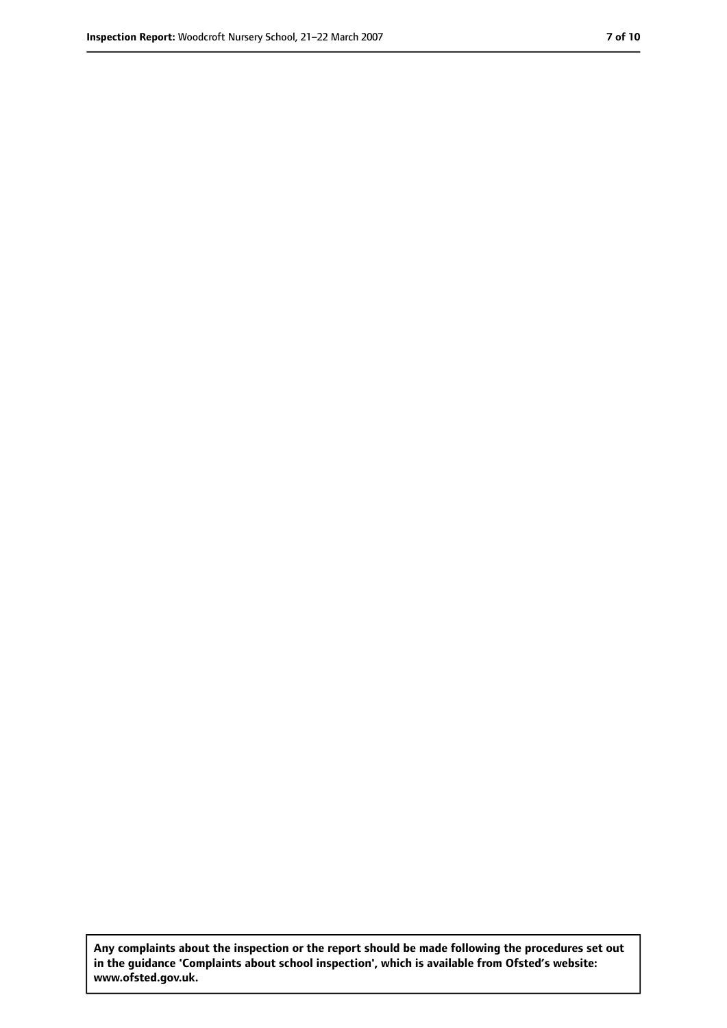**Any complaints about the inspection or the report should be made following the procedures set out in the guidance 'Complaints about school inspection', which is available from Ofsted's website: www.ofsted.gov.uk.**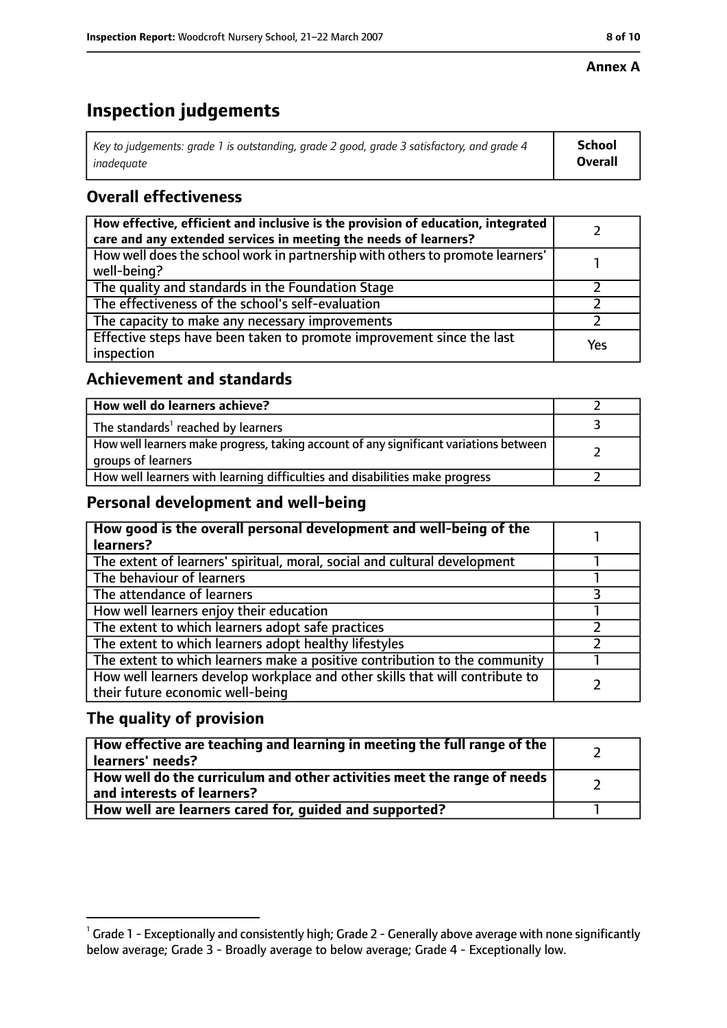#### **Annex A**

## **Inspection judgements**

| Key to judgements: grade 1 is outstanding, grade 2 good, grade 3 satisfactory, and grade 4 $\,$ | <b>School</b>  |
|-------------------------------------------------------------------------------------------------|----------------|
| inadequate                                                                                      | <b>Overall</b> |

### **Overall effectiveness**

| How effective, efficient and inclusive is the provision of education, integrated<br>care and any extended services in meeting the needs of learners? |     |
|------------------------------------------------------------------------------------------------------------------------------------------------------|-----|
| How well does the school work in partnership with others to promote learners'<br>well-being?                                                         |     |
| The quality and standards in the Foundation Stage                                                                                                    |     |
| The effectiveness of the school's self-evaluation                                                                                                    |     |
| The capacity to make any necessary improvements                                                                                                      |     |
| Effective steps have been taken to promote improvement since the last<br>inspection                                                                  | Yes |

#### **Achievement and standards**

| How well do learners achieve?                                                                               |  |
|-------------------------------------------------------------------------------------------------------------|--|
| The standards <sup>1</sup> reached by learners                                                              |  |
| How well learners make progress, taking account of any significant variations between<br>groups of learners |  |
| How well learners with learning difficulties and disabilities make progress                                 |  |

#### **Personal development and well-being**

| How good is the overall personal development and well-being of the<br>learners? |  |
|---------------------------------------------------------------------------------|--|
| The extent of learners' spiritual, moral, social and cultural development       |  |
| The behaviour of learners                                                       |  |
|                                                                                 |  |
| The attendance of learners                                                      |  |
| How well learners enjoy their education                                         |  |
| The extent to which learners adopt safe practices                               |  |
| The extent to which learners adopt healthy lifestyles                           |  |
| The extent to which learners make a positive contribution to the community      |  |
| How well learners develop workplace and other skills that will contribute to    |  |
| their future economic well-being                                                |  |

### **The quality of provision**

| How effective are teaching and learning in meeting the full range of the<br>learners' needs?          |  |
|-------------------------------------------------------------------------------------------------------|--|
| How well do the curriculum and other activities meet the range of needs<br>and interests of learners? |  |
| How well are learners cared for, quided and supported?                                                |  |

 $^1$  Grade 1 - Exceptionally and consistently high; Grade 2 - Generally above average with none significantly below average; Grade 3 - Broadly average to below average; Grade 4 - Exceptionally low.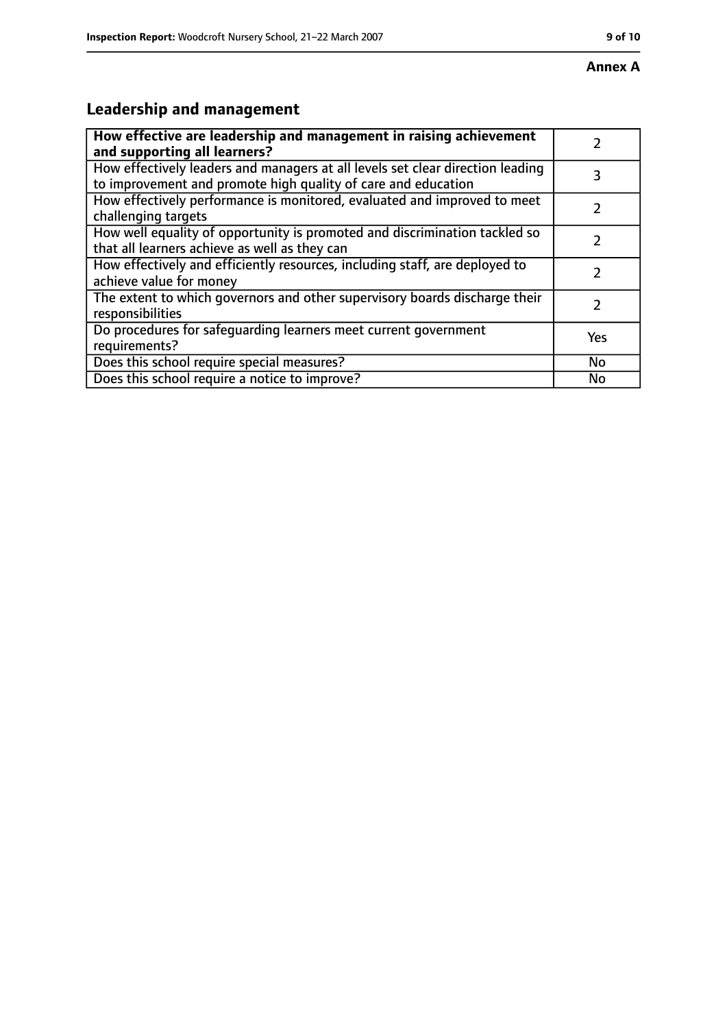## **Leadership and management**

| How effective are leadership and management in raising achievement<br>and supporting all learners?                                              |           |
|-------------------------------------------------------------------------------------------------------------------------------------------------|-----------|
| How effectively leaders and managers at all levels set clear direction leading<br>to improvement and promote high quality of care and education |           |
| How effectively performance is monitored, evaluated and improved to meet<br>challenging targets                                                 |           |
| How well equality of opportunity is promoted and discrimination tackled so<br>that all learners achieve as well as they can                     |           |
| How effectively and efficiently resources, including staff, are deployed to<br>achieve value for money                                          |           |
| The extent to which governors and other supervisory boards discharge their<br>responsibilities                                                  | 7         |
| Do procedures for safequarding learners meet current government<br>requirements?                                                                | Yes       |
| Does this school require special measures?                                                                                                      | <b>No</b> |
| Does this school require a notice to improve?                                                                                                   | No        |